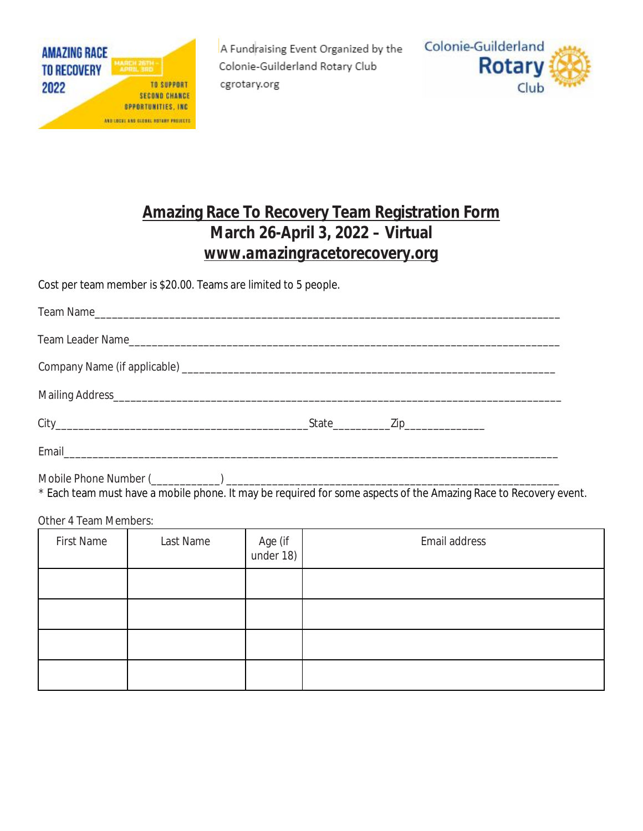

A Fundraising Event Organized by the Colonie-Guilderland Rotary Club cgrotary.org



## **Amazing Race To Recovery Team Registration Form March 26-April 3, 2022 – Virtual**  *[www.amazingracetorecovery.org](http://www.amazingracetorecovery.org)*

Cost per team member is \$20.00. Teams are limited to 5 people.

\* Each team must have a mobile phone. It may be required for some aspects of the Amazing Race to Recovery event.

Other 4 Team Members:

| <b>First Name</b> | Last Name | Age (if<br>under 18) | Email address |
|-------------------|-----------|----------------------|---------------|
|                   |           |                      |               |
|                   |           |                      |               |
|                   |           |                      |               |
|                   |           |                      |               |